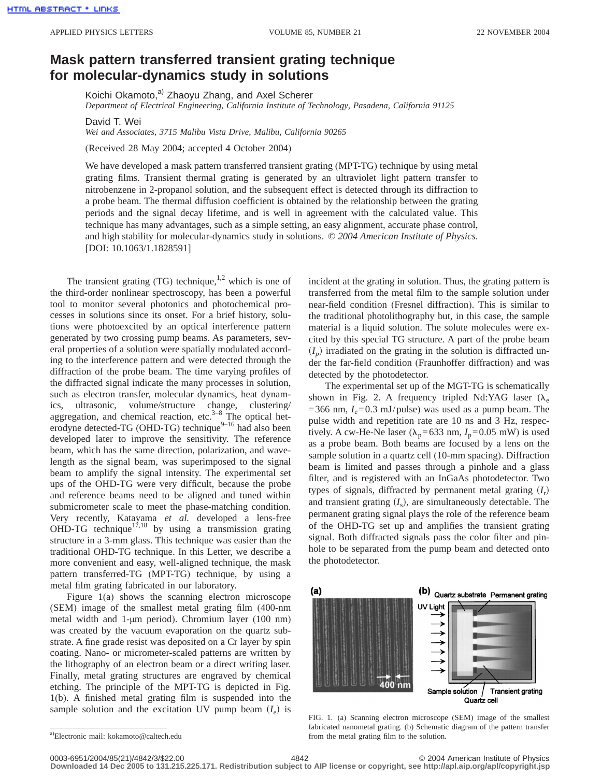## **Mask pattern transferred transient grating technique for molecular-dynamics study in solutions**

Koichi Okamoto,<sup>a)</sup> Zhaoyu Zhang, and Axel Scherer *Department of Electrical Engineering, California Institute of Technology, Pasadena, California 91125*

David T. Wei

*Wei and Associates, 3715 Malibu Vista Drive, Malibu, California 90265*

(Received 28 May 2004; accepted 4 October 2004)

We have developed a mask pattern transferred transient grating (MPT-TG) technique by using metal grating films. Transient thermal grating is generated by an ultraviolet light pattern transfer to nitrobenzene in 2-propanol solution, and the subsequent effect is detected through its diffraction to a probe beam. The thermal diffusion coefficient is obtained by the relationship between the grating periods and the signal decay lifetime, and is well in agreement with the calculated value. This technique has many advantages, such as a simple setting, an easy alignment, accurate phase control, and high stability for molecular-dynamics study in solutions. © *2004 American Institute of Physics*. [DOI: 10.1063/1.1828591]

The transient grating  $(TG)$  technique,<sup>1,2</sup> which is one of the third-order nonlinear spectroscopy, has been a powerful tool to monitor several photonics and photochemical processes in solutions since its onset. For a brief history, solutions were photoexcited by an optical interference pattern generated by two crossing pump beams. As parameters, several properties of a solution were spatially modulated according to the interference pattern and were detected through the diffraction of the probe beam. The time varying profiles of the diffracted signal indicate the many processes in solution, such as electron transfer, molecular dynamics, heat dynamics, ultrasonic, volume/structure change, clustering/ aggregation, and chemical reaction, etc. $3-8$  The optical heterodyne detected-TG (OHD-TG) technique<sup>9–16</sup> had also been developed later to improve the sensitivity. The reference beam, which has the same direction, polarization, and wavelength as the signal beam, was superimposed to the signal beam to amplify the signal intensity. The experimental set ups of the OHD-TG were very difficult, because the probe and reference beams need to be aligned and tuned within submicrometer scale to meet the phase-matching condition. Very recently, Katayama *et al.* developed a lens-free OHD-TG technique<sup>17,18</sup> by using a transmission grating structure in a 3-mm glass. This technique was easier than the traditional OHD-TG technique. In this Letter, we describe a more convenient and easy, well-aligned technique, the mask pattern transferred-TG (MPT-TG) technique, by using a metal film grating fabricated in our laboratory.

Figure 1(a) shows the scanning electron microscope (SEM) image of the smallest metal grating film (400-nm metal width and 1-µm period). Chromium layer (100 nm) was created by the vacuum evaporation on the quartz substrate. A fine grade resist was deposited on a Cr layer by spin coating. Nano- or micrometer-scaled patterns are written by the lithography of an electron beam or a direct writing laser. Finally, metal grating structures are engraved by chemical etching. The principle of the MPT-TG is depicted in Fig. 1(b). A finished metal grating film is suspended into the sample solution and the excitation UV pump beam  $(I_e)$  is incident at the grating in solution. Thus, the grating pattern is transferred from the metal film to the sample solution under near-field condition (Fresnel diffraction). This is similar to the traditional photolithography but, in this case, the sample material is a liquid solution. The solute molecules were excited by this special TG structure. A part of the probe beam  $(I_p)$  irradiated on the grating in the solution is diffracted under the far-field condition (Fraunhoffer diffraction) and was detected by the photodetector.

The experimental set up of the MGT-TG is schematically shown in Fig. 2. A frequency tripled Nd:YAG laser  $(\lambda_e)$  $=$  366 nm,  $I_e$ =0.3 mJ/pulse) was used as a pump beam. The pulse width and repetition rate are 10 ns and 3 Hz, respectively. A cw-He-Ne laser ( $\lambda_p$ =633 nm,  $I_p$ =0.05 mW) is used as a probe beam. Both beams are focused by a lens on the sample solution in a quartz cell (10-mm spacing). Diffraction beam is limited and passes through a pinhole and a glass filter, and is registered with an InGaAs photodetector. Two types of signals, diffracted by permanent metal grating  $(I_r)$ and transient grating  $(I_s)$ , are simultaneously detectable. The permanent grating signal plays the role of the reference beam of the OHD-TG set up and amplifies the transient grating signal. Both diffracted signals pass the color filter and pinhole to be separated from the pump beam and detected onto the photodetector.



FIG. 1. (a) Scanning electron microscope (SEM) image of the smallest fabricated nanometal grating. (b) Schematic diagram of the pattern transfer from the metal grating film to the solution.

0003-6951/2004/85(21)/4842/3/\$22.00 © 2004 American Institute of Physics 4842 **Downloaded 14 Dec 2005 to 131.215.225.171. Redistribution subject to AIP license or copyright, see http://apl.aip.org/apl/copyright.jsp**

a) Electronic mail: kokamoto@caltech.edu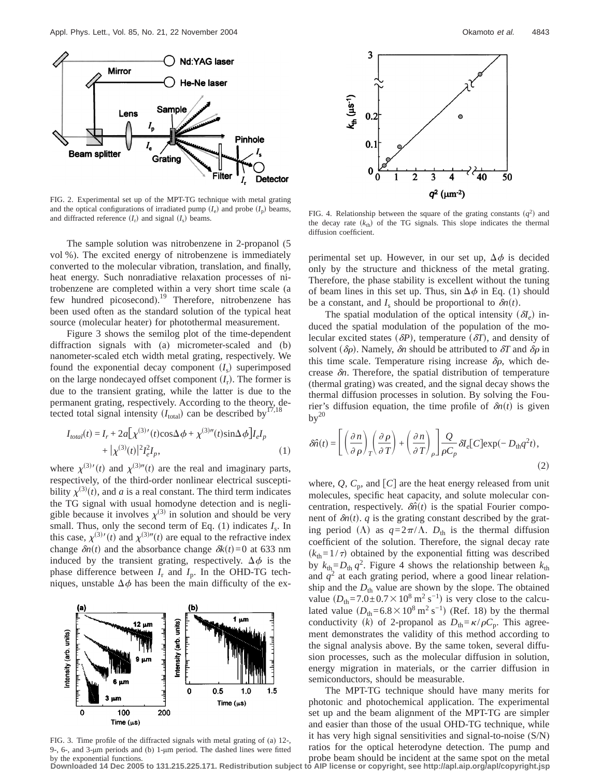

FIG. 2. Experimental set up of the MPT-TG technique with metal grating and the optical configurations of irradiated pump  $(I_e)$  and probe  $(I_n)$  beams, and diffracted reference  $(I_r)$  and signal  $(I_s)$  beams.

The sample solution was nitrobenzene in 2-propanol (5 vol %). The excited energy of nitrobenzene is immediately converted to the molecular vibration, translation, and finally, heat energy. Such nonradiative relaxation processes of nitrobenzene are completed within a very short time scale (a few hundred picosecond).<sup>19</sup> Therefore, nitrobenzene has been used often as the standard solution of the typical heat source (molecular heater) for photothermal measurement.

Figure 3 shows the semilog plot of the time-dependent diffraction signals with (a) micrometer-scaled and (b) nanometer-scaled etch width metal grating, respectively. We found the exponential decay component  $(I<sub>s</sub>)$  superimposed on the large nondecayed offset component  $(I_r)$ . The former is due to the transient grating, while the latter is due to the permanent grating, respectively. According to the theory, detected total signal intensity  $(I_{total})$  can be described by<sup>17,18</sup>

$$
I_{total}(t) = I_r + 2a[\chi^{(3)'}(t)\cos\Delta\phi + \chi^{(3)''}(t)\sin\Delta\phi]I_eI_p
$$
  
+  $|\chi^{(3)}(t)|^2I_e^2I_p$ , (1)

where  $\chi^{(3)}(t)$  and  $\chi^{(3)''}(t)$  are the real and imaginary parts, respectively, of the third-order nonlinear electrical susceptibility  $\chi^{(3)}(t)$ , and *a* is a real constant. The third term indicates the TG signal with usual homodyne detection and is negligible because it involves  $\chi^{(3)}$  in solution and should be very small. Thus, only the second term of Eq.  $(1)$  indicates  $I_s$ . In this case,  $\chi^{(3)}(t)$  and  $\chi^{(3)''}(t)$  are equal to the refractive index change  $\delta n(t)$  and the absorbance change  $\delta k(t) = 0$  at 633 nm induced by the transient grating, respectively.  $\Delta \phi$  is the phase difference between  $I_r$  and  $I_p$ . In the OHD-TG techniques, unstable  $\Delta \phi$  has been the main difficulty of the ex-



FIG. 3. Time profile of the diffracted signals with metal grating of (a) 12-, 9-, 6-, and 3-µm periods and (b) 1-µm period. The dashed lines were fitted by the exponential functions.



FIG. 4. Relationship between the square of the grating constants  $(q^2)$  and the decay rate  $(k<sub>th</sub>)$  of the TG signals. This slope indicates the thermal diffusion coefficient.

perimental set up. However, in our set up,  $\Delta \phi$  is decided only by the structure and thickness of the metal grating. Therefore, the phase stability is excellent without the tuning of beam lines in this set up. Thus,  $\sin \Delta \phi$  in Eq. (1) should be a constant, and  $I_s$  should be proportional to  $\delta n(t)$ .

The spatial modulation of the optical intensity  $(\delta I_e)$  induced the spatial modulation of the population of the molecular excited states  $(\delta P)$ , temperature  $(\delta T)$ , and density of solvent ( $\delta\rho$ ). Namely,  $\delta n$  should be attributed to  $\delta T$  and  $\delta\rho$  in this time scale. Temperature rising increase  $\delta \rho$ , which decrease  $\delta n$ . Therefore, the spatial distribution of temperature (thermal grating) was created, and the signal decay shows the thermal diffusion processes in solution. By solving the Fourier's diffusion equation, the time profile of  $\delta n(t)$  is given  $by<sup>20</sup>$ 

$$
\delta \hat{n}(t) = \left[ \left( \frac{\partial n}{\partial \rho} \right)_T \left( \frac{\partial \rho}{\partial T} \right) + \left( \frac{\partial n}{\partial T} \right)_\rho \right] \frac{Q}{\rho C_p} \delta l_e [C] \exp(-D_{\text{th}} q^2 t),\tag{2}
$$

where,  $Q$ ,  $C_p$ , and  $[C]$  are the heat energy released from unit molecules, specific heat capacity, and solute molecular concentration, respectively.  $\delta \hat{n}(t)$  is the spatial Fourier component of  $\delta n(t)$ . *q* is the grating constant described by the grating period ( $\Lambda$ ) as  $q=2\pi/\Lambda$ .  $D_{th}$  is the thermal diffusion coefficient of the solution. Therefore, the signal decay rate  $(k<sub>th</sub>=1/\tau)$  obtained by the exponential fitting was described by  $k_{\text{th}} = D_{\text{th}} q^2$ . Figure 4 shows the relationship between  $k_{\text{th}}$ and  $q^2$  at each grating period, where a good linear relationship and the  $D_{th}$  value are shown by the slope. The obtained value  $(D_{th}=7.0\pm0.7\times10^8 \text{ m}^2 \text{ s}^{-1})$  is very close to the calculated value  $(D_{th}=6.8\times10^8 \text{ m}^2 \text{ s}^{-1})$  (Ref. 18) by the thermal conductivity (k) of 2-propanol as  $D_{th} = \frac{\kappa}{\rho C_p}$ . This agreement demonstrates the validity of this method according to the signal analysis above. By the same token, several diffusion processes, such as the molecular diffusion in solution, energy migration in materials, or the carrier diffusion in semiconductors, should be measurable.

The MPT-TG technique should have many merits for photonic and photochemical application. The experimental set up and the beam alignment of the MPT-TG are simpler and easier than those of the usual OHD-TG technique, while it has very high signal sensitivities and signal-to-noise (S/N) ratios for the optical heterodyne detection. The pump and probe beam should be incident at the same spot on the metal

**Downloaded 14 Dec 2005 to 131.215.225.171. Redistribution subject to AIP license or copyright, see http://apl.aip.org/apl/copyright.jsp**